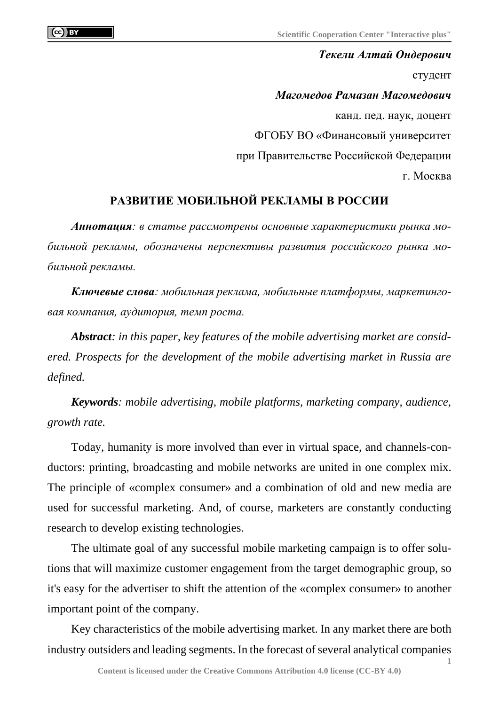*Текели Алтай Ондерович* студент *Магомедов Рамазан Магомедович* канд. пед. наук, доцент ФГОБУ ВО «Финансовый университет при Правительстве Российской Федерации г. Москва

## **РАЗВИТИЕ МОБИЛЬНОЙ РЕКЛАМЫ В РОССИИ**

*Аннотация: в статье рассмотрены основные характеристики рынка мобильной рекламы, обозначены перспективы развития российского рынка мобильной рекламы.*

*Ключевые слова: мобильная реклама, мобильные платформы, маркетинговая компания, аудитория, темп роста.*

*Abstract: in this paper, key features of the mobile advertising market are considered. Prospects for the development of the mobile advertising market in Russia are defined.*

*Keywords: mobile advertising, mobile platforms, marketing company, audience, growth rate.*

Today, humanity is more involved than ever in virtual space, and channels-conductors: printing, broadcasting and mobile networks are united in one complex mix. The principle of «complex consumer» and a combination of old and new media are used for successful marketing. And, of course, marketers are constantly conducting research to develop existing technologies.

The ultimate goal of any successful mobile marketing campaign is to offer solutions that will maximize customer engagement from the target demographic group, so it's easy for the advertiser to shift the attention of the «complex consumer» to another important point of the company.

Key characteristics of the mobile advertising market. In any market there are both industry outsiders and leading segments. In the forecast of several analytical companies

**1**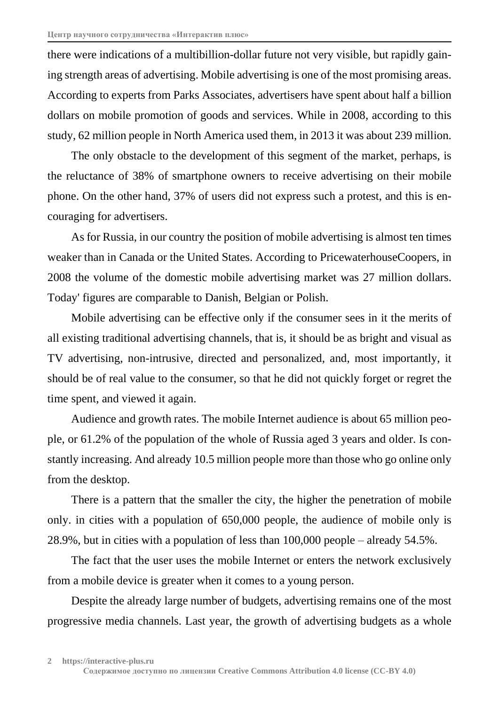there were indications of a multibillion-dollar future not very visible, but rapidly gaining strength areas of advertising. Mobile advertising is one of the most promising areas. According to experts from Parks Associates, advertisers have spent about half a billion dollars on mobile promotion of goods and services. While in 2008, according to this study, 62 million people in North America used them, in 2013 it was about 239 million.

The only obstacle to the development of this segment of the market, perhaps, is the reluctance of 38% of smartphone owners to receive advertising on their mobile phone. On the other hand, 37% of users did not express such a protest, and this is encouraging for advertisers.

As for Russia, in our country the position of mobile advertising is almost ten times weaker than in Canada or the United States. According to PricewaterhouseCoopers, in 2008 the volume of the domestic mobile advertising market was 27 million dollars. Today' figures are comparable to Danish, Belgian or Polish.

Mobile advertising can be effective only if the consumer sees in it the merits of all existing traditional advertising channels, that is, it should be as bright and visual as TV advertising, non-intrusive, directed and personalized, and, most importantly, it should be of real value to the consumer, so that he did not quickly forget or regret the time spent, and viewed it again.

Audience and growth rates. The mobile Internet audience is about 65 million people, or 61.2% of the population of the whole of Russia aged 3 years and older. Is constantly increasing. And already 10.5 million people more than those who go online only from the desktop.

There is a pattern that the smaller the city, the higher the penetration of mobile only. in cities with a population of 650,000 people, the audience of mobile only is 28.9%, but in cities with a population of less than 100,000 people – already 54.5%.

The fact that the user uses the mobile Internet or enters the network exclusively from a mobile device is greater when it comes to a young person.

Despite the already large number of budgets, advertising remains one of the most progressive media channels. Last year, the growth of advertising budgets as a whole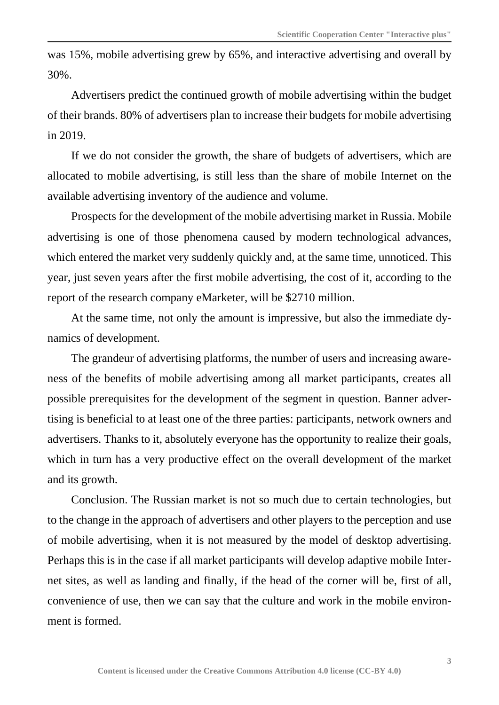was 15%, mobile advertising grew by 65%, and interactive advertising and overall by 30%.

Advertisers predict the continued growth of mobile advertising within the budget of their brands. 80% of advertisers plan to increase their budgets for mobile advertising in 2019.

If we do not consider the growth, the share of budgets of advertisers, which are allocated to mobile advertising, is still less than the share of mobile Internet on the available advertising inventory of the audience and volume.

Prospects for the development of the mobile advertising market in Russia. Mobile advertising is one of those phenomena caused by modern technological advances, which entered the market very suddenly quickly and, at the same time, unnoticed. This year, just seven years after the first mobile advertising, the cost of it, according to the report of the research company eMarketer, will be \$2710 million.

At the same time, not only the amount is impressive, but also the immediate dynamics of development.

The grandeur of advertising platforms, the number of users and increasing awareness of the benefits of mobile advertising among all market participants, creates all possible prerequisites for the development of the segment in question. Banner advertising is beneficial to at least one of the three parties: participants, network owners and advertisers. Thanks to it, absolutely everyone has the opportunity to realize their goals, which in turn has a very productive effect on the overall development of the market and its growth.

Conclusion. The Russian market is not so much due to certain technologies, but to the change in the approach of advertisers and other players to the perception and use of mobile advertising, when it is not measured by the model of desktop advertising. Perhaps this is in the case if all market participants will develop adaptive mobile Internet sites, as well as landing and finally, if the head of the corner will be, first of all, convenience of use, then we can say that the culture and work in the mobile environment is formed